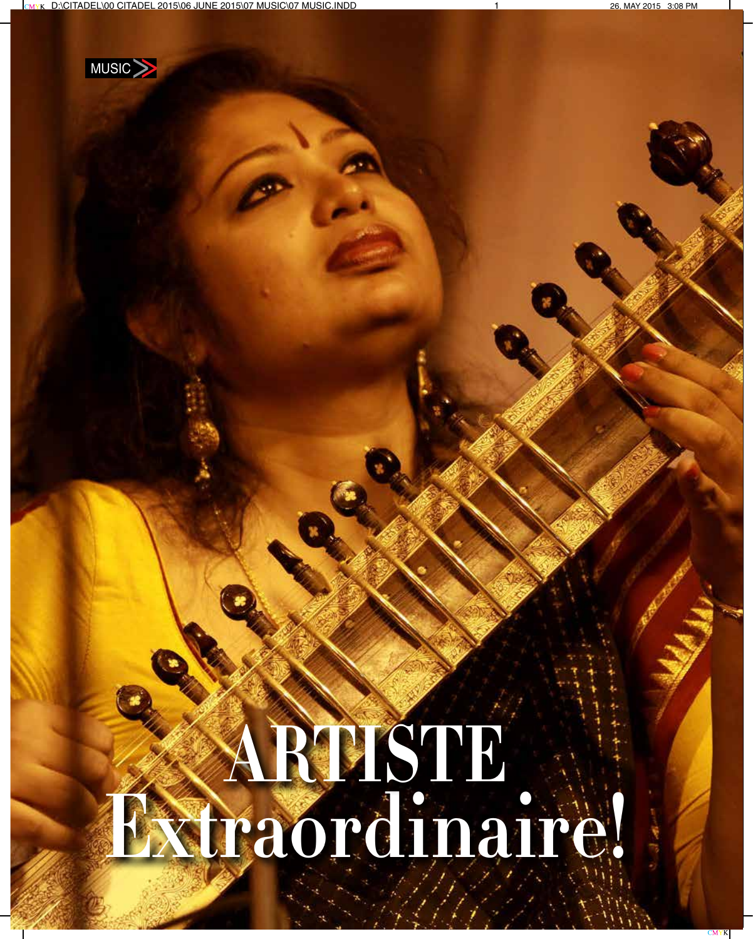**000 - Citadel Punchet 2015** 



## **Extraordinaire! Artiste**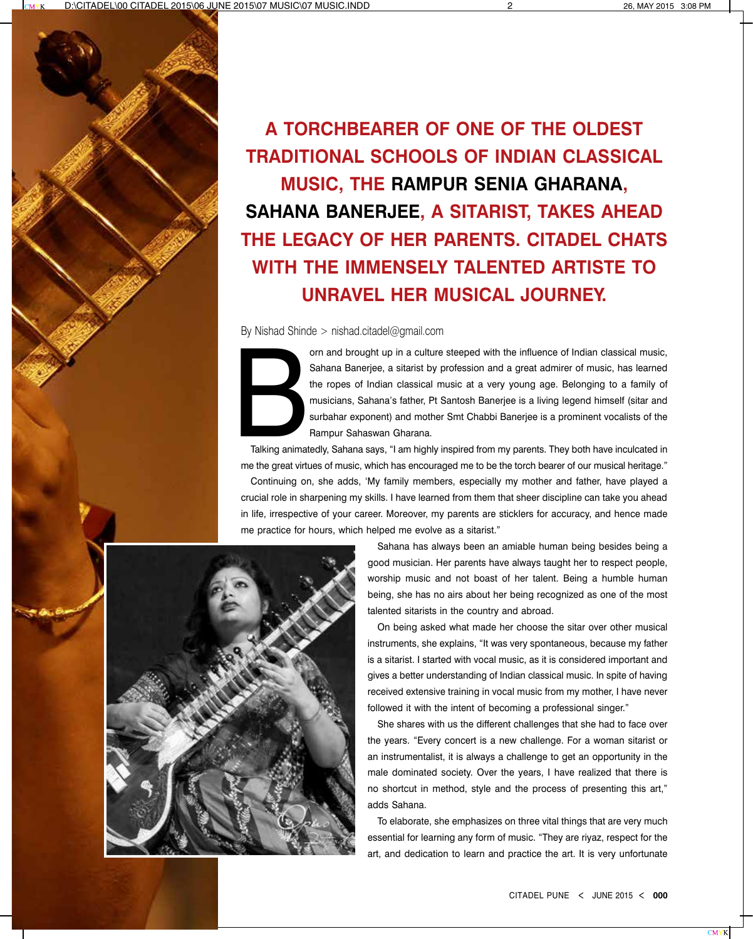

**A torchbearer of one of the oldest traditional schools of Indian classical music, the Rampur Senia Gharana, Sahana Banerjee, a sitarist, takes ahead the legacy of her parents. Citadel chats with the immensely talented artiste to unravel her musical journey.**

By Nishad Shinde > nishad.citadel@gmail.com



orn and brought up in a culture steeped with the influence of Indian classical music,<br>Sahana Banerjee, a sitarist by profession and a great admirer of music, has learned<br>the ropes of Indian classical music at a very young Sahana Banerjee, a sitarist by profession and a great admirer of music, has learned the ropes of Indian classical music at a very young age. Belonging to a family of musicians, Sahana's father, Pt Santosh Banerjee is a living legend himself (sitar and surbahar exponent) and mother Smt Chabbi Banerjee is a prominent vocalists of the Rampur Sahaswan Gharana.

Talking animatedly, Sahana says, "I am highly inspired from my parents. They both have inculcated in me the great virtues of music, which has encouraged me to be the torch bearer of our musical heritage." Continuing on, she adds, 'My family members, especially my mother and father, have played a crucial role in sharpening my skills. I have learned from them that sheer discipline can take you ahead in life, irrespective of your career. Moreover, my parents are sticklers for accuracy, and hence made me practice for hours, which helped me evolve as a sitarist."



Sahana has always been an amiable human being besides being a good musician. Her parents have always taught her to respect people, worship music and not boast of her talent. Being a humble human being, she has no airs about her being recognized as one of the most talented sitarists in the country and abroad.

On being asked what made her choose the sitar over other musical instruments, she explains, "It was very spontaneous, because my father is a sitarist. I started with vocal music, as it is considered important and gives a better understanding of Indian classical music. In spite of having received extensive training in vocal music from my mother, I have never followed it with the intent of becoming a professional singer."

She shares with us the different challenges that she had to face over the years. "Every concert is a new challenge. For a woman sitarist or an instrumentalist, it is always a challenge to get an opportunity in the male dominated society. Over the years, I have realized that there is no shortcut in method, style and the process of presenting this art," adds Sahana.

To elaborate, she emphasizes on three vital things that are very much essential for learning any form of music. "They are riyaz, respect for the art, and dedication to learn and practice the art. It is very unfortunate